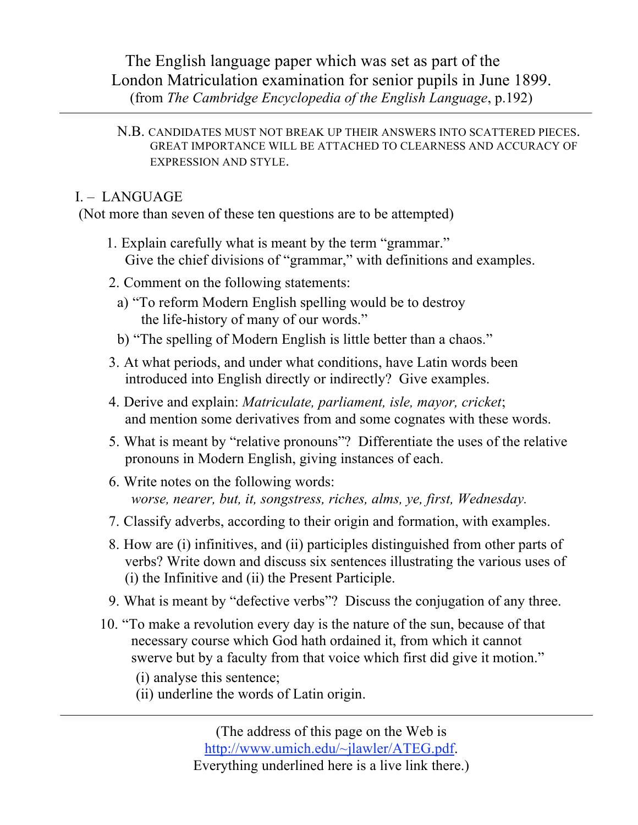The English language paper which was set as part of the London Matriculation examination for senior pupils in June 1899. (from *The Cambridge Encyclopedia of the English Language*, p.192)

## N.B. CANDIDATES MUST NOT BREAK UP THEIR ANSWERS INTO SCATTERED PIECES. GREAT IMPORTANCE WILL BE ATTACHED TO CLEARNESS AND ACCURACY OF EXPRESSION AND STYLE.

## I. – LANGUAGE

(Not more than seven of these ten questions are to be attempted)

- 1. Explain carefully what is meant by the term "grammar." Give the chief divisions of "grammar," with definitions and examples.
- 2. Comment on the following statements:
	- a) "To reform Modern English spelling would be to destroy the life-history of many of our words."
	- b) "The spelling of Modern English is little better than a chaos."
- 3. At what periods, and under what conditions, have Latin words been introduced into English directly or indirectly? Give examples.
- 4. Derive and explain: *Matriculate, parliament, isle, mayor, cricket*; and mention some derivatives from and some cognates with these words.
- 5. What is meant by "relative pronouns"? Differentiate the uses of the relative pronouns in Modern English, giving instances of each.
- 6. Write notes on the following words: *worse, nearer, but, it, songstress, riches, alms, ye, first, Wednesday.*
- 7. Classify adverbs, according to their origin and formation, with examples.
- 8. How are (i) infinitives, and (ii) participles distinguished from other parts of verbs? Write down and discuss six sentences illustrating the various uses of (i) the Infinitive and (ii) the Present Participle.
- 9. What is meant by "defective verbs"? Discuss the conjugation of any three.
- 10. "To make a revolution every day is the nature of the sun, because of that necessary course which God hath ordained it, from which it cannot swerve but by a faculty from that voice which first did give it motion."
	- (i) analyse this sentence;
	- (ii) underline the words of Latin origin.